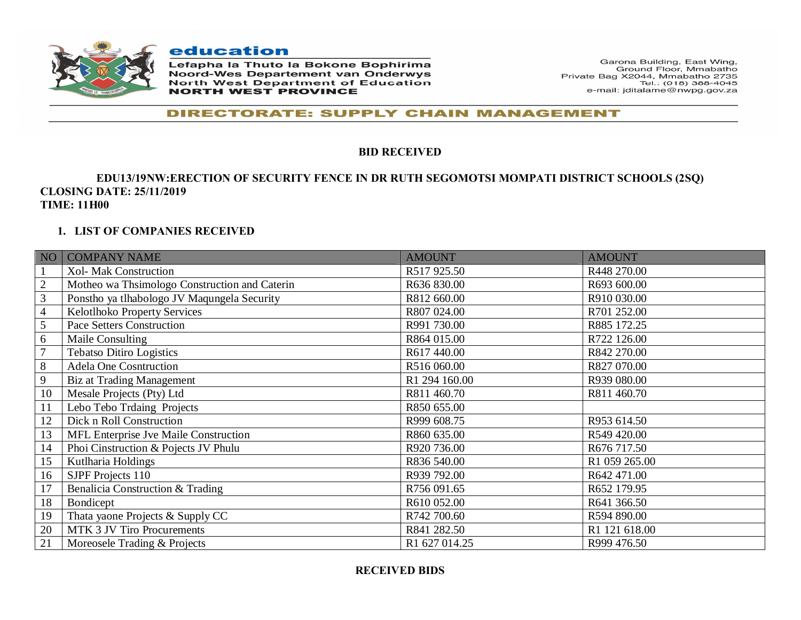

education

Lefapha la Thuto la Bokone Bophirima **Noord-Wes Departement van Onderwys** North West Department of Education **NORTH WEST PROVINCE** 

Garona Building, East Wing, Ground Floor, Mmabatho Private Bag X2044, Mmabatho 2735 Tel.: (018) 388-4045 e-mail: jditalame@nwpg.gov.za

#### **DIRECTORATE: SUPPLY CHAIN MANAGEMENT**

#### **BID RECEIVED**

#### **EDU13/19NW:ERECTION OF SECURITY FENCE IN DR RUTH SEGOMOTSI MOMPATI DISTRICT SCHOOLS (2SQ) CLOSING DATE: 25/11/2019 TIME: 11H00**

#### **1. LIST OF COMPANIES RECEIVED**

| NO <sub>1</sub> | <b>COMPANY NAME</b>                           | <b>AMOUNT</b> | <b>AMOUNT</b> |
|-----------------|-----------------------------------------------|---------------|---------------|
|                 | <b>Xol- Mak Construction</b>                  | R517 925.50   | R448 270.00   |
| $\sqrt{2}$      | Motheo wa Thsimologo Construction and Caterin | R636 830.00   | R693 600.00   |
| 3               | Ponstho ya tlhabologo JV Maqungela Security   | R812 660.00   | R910 030.00   |
| 4               | Kelotlhoko Property Services                  | R807 024.00   | R701 252.00   |
| 5               | <b>Pace Setters Construction</b>              | R991 730.00   | R885 172.25   |
| 6               | Maile Consulting                              | R864 015.00   | R722 126.00   |
| 7               | <b>Tebatso Ditiro Logistics</b>               | R617 440.00   | R842 270.00   |
| 8               | <b>Adela One Cosntruction</b>                 | R516 060.00   | R827 070.00   |
| 9               | Biz at Trading Management                     | R1 294 160.00 | R939 080.00   |
| 10              | Mesale Projects (Pty) Ltd                     | R811 460.70   | R811 460.70   |
| 11              | Lebo Tebo Trdaing Projects                    | R850 655.00   |               |
| 12              | Dick n Roll Construction                      | R999 608.75   | R953 614.50   |
| 13              | MFL Enterprise Jve Maile Construction         | R860 635.00   | R549 420.00   |
| 14              | Phoi Cinstruction & Pojects JV Phulu          | R920 736.00   | R676 717.50   |
| 15              | Kutlharia Holdings                            | R836 540.00   | R1 059 265.00 |
| 16              | SJPF Projects 110                             | R939 792.00   | R642 471.00   |
| 17              | Benalicia Construction & Trading              | R756 091.65   | R652 179.95   |
| 18              | Bondicept                                     | R610 052.00   | R641 366.50   |
| 19              | Thata yaone Projects & Supply CC              | R742 700.60   | R594 890.00   |
| 20              | MTK 3 JV Tiro Procurements                    | R841 282.50   | R1 121 618.00 |
| 21              | Moreosele Trading & Projects                  | R1 627 014.25 | R999 476.50   |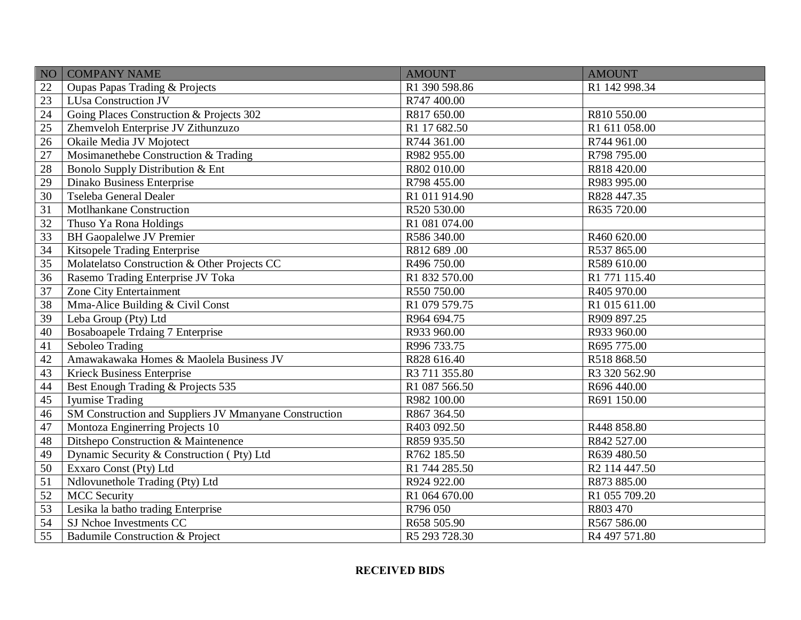| <b>NO</b> | <b>COMPANY NAME</b>                                    | <b>AMOUNT</b> | <b>AMOUNT</b> |
|-----------|--------------------------------------------------------|---------------|---------------|
| 22        | Oupas Papas Trading & Projects                         | R1 390 598.86 | R1 142 998.34 |
| 23        | LUsa Construction JV                                   | R747 400.00   |               |
| 24        | Going Places Construction & Projects 302               | R817 650.00   | R810 550.00   |
| 25        | Zhemveloh Enterprise JV Zithunzuzo                     | R1 17 682.50  | R1 611 058.00 |
| 26        | Okaile Media JV Mojotect                               | R744 361.00   | R744 961.00   |
| 27        | Mosimanethebe Construction & Trading                   | R982 955.00   | R798 795.00   |
| 28        | Bonolo Supply Distribution & Ent                       | R802 010.00   | R818 420.00   |
| 29        | Dinako Business Enterprise                             | R798 455.00   | R983 995.00   |
| 30        | Tseleba General Dealer                                 | R1 011 914.90 | R828 447.35   |
| 31        | Motlhankane Construction                               | R520 530.00   | R635 720.00   |
| 32        | Thuso Ya Rona Holdings                                 | R1 081 074.00 |               |
| 33        | <b>BH Gaopalelwe JV Premier</b>                        | R586 340.00   | R460 620.00   |
| 34        | Kitsopele Trading Enterprise                           | R812 689 .00  | R537 865.00   |
| 35        | Molatelatso Construction & Other Projects CC           | R496 750.00   | R589 610.00   |
| 36        | Rasemo Trading Enterprise JV Toka                      | R1 832 570.00 | R1 771 115.40 |
| 37        | <b>Zone City Entertainment</b>                         | R550 750.00   | R405 970.00   |
| 38        | Mma-Alice Building & Civil Const                       | R1 079 579.75 | R1 015 611.00 |
| 39        | Leba Group (Pty) Ltd                                   | R964 694.75   | R909 897.25   |
| 40        | <b>Bosaboapele Trdaing 7 Enterprise</b>                | R933 960.00   | R933 960.00   |
| 41        | Seboleo Trading                                        | R996 733.75   | R695 775.00   |
| 42        | Amawakawaka Homes & Maolela Business JV                | R828 616.40   | R518 868.50   |
| 43        | <b>Krieck Business Enterprise</b>                      | R3 711 355.80 | R3 320 562.90 |
| 44        | Best Enough Trading & Projects 535                     | R1 087 566.50 | R696 440.00   |
| 45        | Iyumise Trading                                        | R982 100.00   | R691 150.00   |
| 46        | SM Construction and Suppliers JV Mmanyane Construction | R867 364.50   |               |
| 47        | Montoza Enginerring Projects 10                        | R403 092.50   | R448 858.80   |
| 48        | Ditshepo Construction & Maintenence                    | R859 935.50   | R842 527.00   |
| 49        | Dynamic Security & Construction (Pty) Ltd              | R762 185.50   | R639 480.50   |
| 50        | Exxaro Const (Pty) Ltd                                 | R1 744 285.50 | R2 114 447.50 |
| 51        | Ndlovunethole Trading (Pty) Ltd                        | R924 922.00   | R873 885.00   |
| 52        | <b>MCC</b> Security                                    | R1 064 670.00 | R1 055 709.20 |
| 53        | Lesika la batho trading Enterprise                     | R796 050      | R803 470      |
| 54        | SJ Nchoe Investments CC                                | R658 505.90   | R567 586.00   |
| 55        | Badumile Construction & Project                        | R5 293 728.30 | R4 497 571.80 |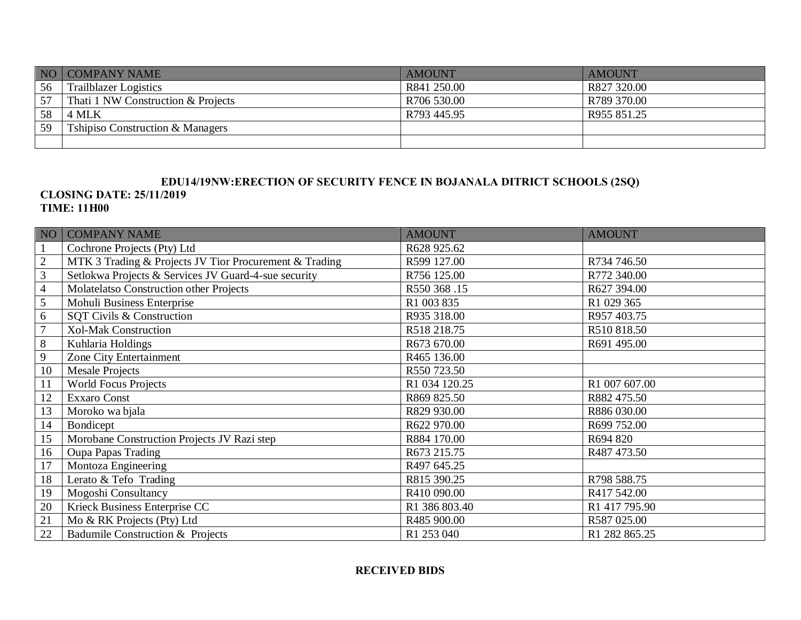|    | NO COMPANY NAME                             | <b>AMOUNT</b> | AMOUNT      |
|----|---------------------------------------------|---------------|-------------|
| 56 | <b>Trailblazer Logistics</b>                | R841 250.00   | R827 320.00 |
| 57 | That i1 NW Construction & Projects          | R706 530.00   | R789 370.00 |
| 58 | 4 MLK                                       | R793 445.95   | R955 851.25 |
| 59 | <b>Tshipiso Construction &amp; Managers</b> |               |             |
|    |                                             |               |             |

# **EDU14/19NW:ERECTION OF SECURITY FENCE IN BOJANALA DITRICT SCHOOLS (2SQ)**

#### **CLOSING DATE: 25/11/2019 TIME: 11H00**

| NO             | <b>COMPANY NAME</b>                                    | <b>AMOUNT</b> | <b>AMOUNT</b> |
|----------------|--------------------------------------------------------|---------------|---------------|
| 1              | Cochrone Projects (Pty) Ltd                            | R628 925.62   |               |
| $\overline{2}$ | MTK 3 Trading & Projects JV Tior Procurement & Trading | R599 127.00   | R734 746.50   |
| $\mathfrak{Z}$ | Setlokwa Projects & Services JV Guard-4-sue security   | R756 125.00   | R772 340.00   |
| $\overline{4}$ | Molatelatso Construction other Projects                | R550 368 .15  | R627 394.00   |
| 5              | Mohuli Business Enterprise                             | R1 003 835    | R1 029 365    |
| 6              | SQT Civils & Construction                              | R935 318.00   | R957 403.75   |
| $\overline{7}$ | <b>Xol-Mak Construction</b>                            | R518 218.75   | R510 818.50   |
| $\,8\,$        | Kuhlaria Holdings                                      | R673 670.00   | R691 495.00   |
| 9              | Zone City Entertainment                                | R465 136.00   |               |
| 10             | <b>Mesale Projects</b>                                 | R550 723.50   |               |
| 11             | <b>World Focus Projects</b>                            | R1 034 120.25 | R1 007 607.00 |
| 12             | <b>Exxaro Const</b>                                    | R869 825.50   | R882 475.50   |
| 13             | Moroko wa bjala                                        | R829 930.00   | R886 030.00   |
| 14             | Bondicept                                              | R622 970.00   | R699 752.00   |
| 15             | Morobane Construction Projects JV Razi step            | R884 170.00   | R694 820      |
| 16             | <b>Oupa Papas Trading</b>                              | R673 215.75   | R487 473.50   |
| 17             | Montoza Engineering                                    | R497 645.25   |               |
| 18             | Lerato & Tefo Trading                                  | R815 390.25   | R798 588.75   |
| 19             | Mogoshi Consultancy                                    | R410 090.00   | R417 542.00   |
| 20             | Krieck Business Enterprise CC                          | R1 386 803.40 | R1 417 795.90 |
| 21             | Mo & RK Projects (Pty) Ltd                             | R485 900.00   | R587 025.00   |
| 22             | Badumile Construction & Projects                       | R1 253 040    | R1 282 865.25 |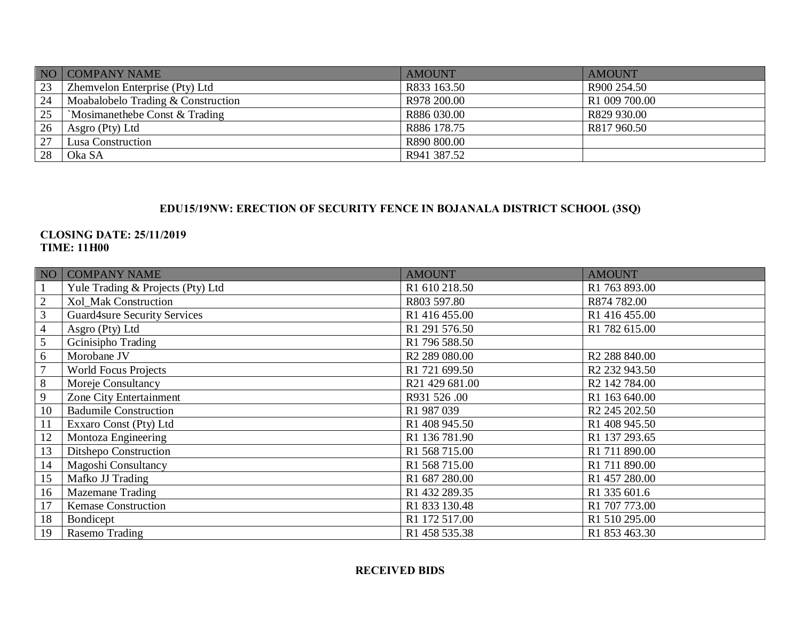|     | NO COMPANY NAME                    | <b>AMOUNT</b> | <b>AMOUNT</b> |
|-----|------------------------------------|---------------|---------------|
| 123 | Zhemvelon Enterprise (Pty) Ltd     | R833 163.50   | R900 254.50   |
| 24  | Moabalobelo Trading & Construction | R978 200.00   | R1 009 700.00 |
| 25  | 'Mosimanethebe Const & Trading     | R886 030.00   | R829 930.00   |
| 26  | Asgro (Pty) Ltd                    | R886 178.75   | R817 960.50   |
| 27  | Lusa Construction                  | R890 800.00   |               |
| 28  | Oka SA                             | R941 387.52   |               |

## **EDU15/19NW: ERECTION OF SECURITY FENCE IN BOJANALA DISTRICT SCHOOL (3SQ)**

### **CLOSING DATE: 25/11/2019 TIME: 11H00**

| NO             | <b>COMPANY NAME</b>                 | <b>AMOUNT</b>             | <b>AMOUNT</b>             |
|----------------|-------------------------------------|---------------------------|---------------------------|
|                | Yule Trading & Projects (Pty) Ltd   | R1 610 218.50             | R1 763 893.00             |
| $\overline{2}$ | Xol_Mak Construction                | R803 597.80               | R874 782.00               |
| 3              | <b>Guard4sure Security Services</b> | R1 416 455.00             | R1 416 455.00             |
| $\overline{4}$ | Asgro (Pty) Ltd                     | R1 291 576.50             | R1 782 615.00             |
| 5              | Gcinisipho Trading                  | R1 796 588.50             |                           |
| 6              | Morobane JV                         | R <sub>2</sub> 289 080.00 | R <sub>2</sub> 288 840.00 |
| 7              | <b>World Focus Projects</b>         | R1 721 699.50             | R <sub>2</sub> 232 943.50 |
| 8              | Moreje Consultancy                  | R21 429 681.00            | R <sub>2</sub> 142 784.00 |
| 9              | Zone City Entertainment             | R931 526.00               | R1 163 640.00             |
| 10             | <b>Badumile Construction</b>        | R1 987 039                | R <sub>2</sub> 245 202.50 |
| 11             | Exxaro Const (Pty) Ltd              | R1 408 945.50             | R1 408 945.50             |
| 12             | Montoza Engineering                 | R1 136 781.90             | R1 137 293.65             |
| 13             | Ditshepo Construction               | R1 568 715.00             | R1 711 890.00             |
| 14             | Magoshi Consultancy                 | R1 568 715.00             | R1 711 890.00             |
| 15             | Mafko JJ Trading                    | R1 687 280.00             | R1 457 280.00             |
| 16             | <b>Mazemane Trading</b>             | R1 432 289.35             | R1 335 601.6              |
| 17             | <b>Kemase Construction</b>          | R1 833 130.48             | R1 707 773.00             |
| 18             | Bondicept                           | R1 172 517.00             | R1 510 295.00             |
| 19             | Rasemo Trading                      | R1 458 535.38             | R1 853 463.30             |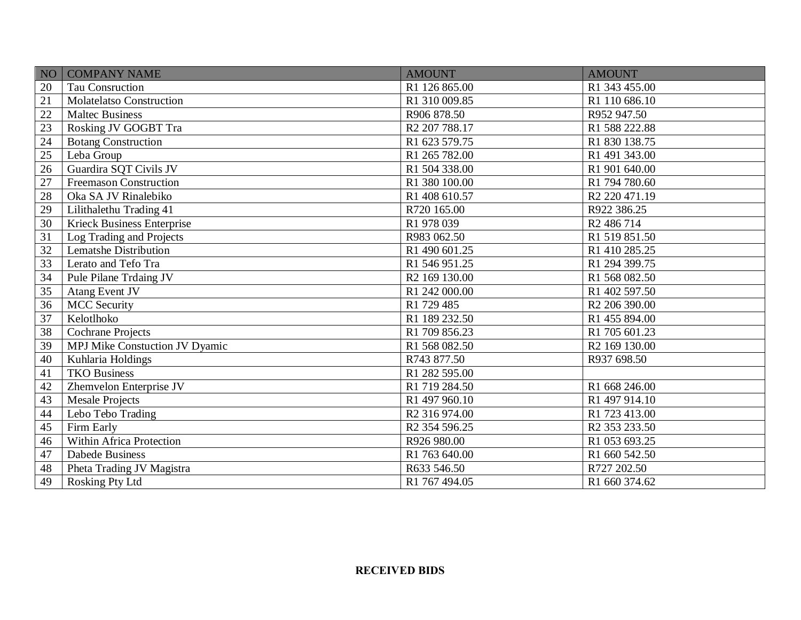| N <sub>O</sub> | <b>COMPANY NAME</b>               | <b>AMOUNT</b>             | <b>AMOUNT</b>             |
|----------------|-----------------------------------|---------------------------|---------------------------|
| 20             | Tau Consruction                   | R1 126 865.00             | R1 343 455.00             |
| 21             | <b>Molatelatso Construction</b>   | R1 310 009.85             | R1 110 686.10             |
| 22             | <b>Maltec Business</b>            | R906 878.50               | R952 947.50               |
| 23             | Rosking JV GOGBT Tra              | R <sub>2</sub> 207 788.17 | R1 588 222.88             |
| 24             | <b>Botang Construction</b>        | R1 623 579.75             | R1 830 138.75             |
| 25             | Leba Group                        | R1 265 782.00             | R1 491 343.00             |
| 26             | Guardira SQT Civils JV            | R1 504 338.00             | R1 901 640.00             |
| 27             | Freemason Construction            | R1 380 100.00             | R1 794 780.60             |
| 28             | Oka SA JV Rinalebiko              | R1 408 610.57             | R <sub>2</sub> 220 471.19 |
| 29             | Lilithalethu Trading 41           | R720 165.00               | R922 386.25               |
| 30             | <b>Krieck Business Enterprise</b> | R1 978 039                | R <sub>2</sub> 486 714    |
| 31             | Log Trading and Projects          | R983 062.50               | R1 519 851.50             |
| 32             | Lematshe Distribution             | R1 490 601.25             | R1 410 285.25             |
| 33             | Lerato and Tefo Tra               | R1 546 951.25             | R1 294 399.75             |
| 34             | Pule Pilane Trdaing JV            | R2 169 130.00             | R1 568 082.50             |
| 35             | <b>Atang Event JV</b>             | R1 242 000.00             | R1 402 597.50             |
| 36             | <b>MCC</b> Security               | R1 729 485                | R <sub>2</sub> 206 390.00 |
| 37             | Kelotlhoko                        | R1 189 232.50             | R1 455 894.00             |
| 38             | Cochrane Projects                 | R1 709 856.23             | R1 705 601.23             |
| 39             | MPJ Mike Constuction JV Dyamic    | R1 568 082.50             | R <sub>2</sub> 169 130.00 |
| 40             | Kuhlaria Holdings                 | R743 877.50               | R937 698.50               |
| 41             | <b>TKO Business</b>               | R1 282 595.00             |                           |
| 42             | Zhemvelon Enterprise JV           | R1 719 284.50             | R1 668 246.00             |
| 43             | <b>Mesale Projects</b>            | R1 497 960.10             | R1 497 914.10             |
| 44             | Lebo Tebo Trading                 | R <sub>2</sub> 316 974.00 | R1 723 413.00             |
| 45             | Firm Early                        | R <sub>2</sub> 354 596.25 | R <sub>2</sub> 353 233.50 |
| 46             | Within Africa Protection          | R926 980.00               | R1 053 693.25             |
| 47             | <b>Dabede Business</b>            | R1 763 640.00             | R1 660 542.50             |
| 48             | Pheta Trading JV Magistra         | R633 546.50               | R727 202.50               |
| 49             | Rosking Pty Ltd                   | R1 767 494.05             | R1 660 374.62             |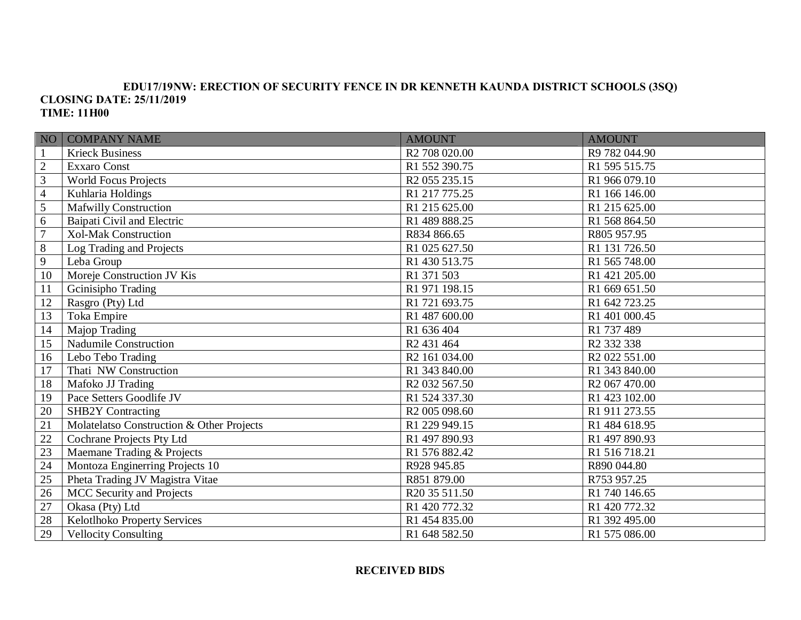#### **EDU17/19NW: ERECTION OF SECURITY FENCE IN DR KENNETH KAUNDA DISTRICT SCHOOLS (3SQ) CLOSING DATE: 25/11/2019 TIME: 11H00**

| NO <sub>1</sub> | <b>COMPANY NAME</b>                       | <b>AMOUNT</b>             | <b>AMOUNT</b>             |
|-----------------|-------------------------------------------|---------------------------|---------------------------|
| $\mathbf{1}$    | <b>Krieck Business</b>                    | R2 708 020.00             | R9 782 044.90             |
| $\sqrt{2}$      | <b>Exxaro Const</b>                       | R1 552 390.75             | R1 595 515.75             |
| $\mathfrak{Z}$  | <b>World Focus Projects</b>               | R <sub>2</sub> 055 235.15 | R1 966 079.10             |
| $\overline{4}$  | Kuhlaria Holdings                         | R1 217 775.25             | R1 166 146.00             |
| $\overline{5}$  | Mafwilly Construction                     | R1 215 625.00             | R1 215 625.00             |
| $\sqrt{6}$      | Baipati Civil and Electric                | R1 489 888.25             | R1 568 864.50             |
| $\overline{7}$  | <b>Xol-Mak Construction</b>               | R834 866.65               | R805 957.95               |
| $\,8\,$         | Log Trading and Projects                  | R1 025 627.50             | R1 131 726.50             |
| 9               | Leba Group                                | R1 430 513.75             | R1 565 748.00             |
| 10              | Moreje Construction JV Kis                | R1 371 503                | R1 421 205.00             |
| 11              | Gcinisipho Trading                        | R1 971 198.15             | R1 669 651.50             |
| 12              | Rasgro (Pty) Ltd                          | R1 721 693.75             | R1 642 723.25             |
| $\overline{13}$ | Toka Empire                               | R1 487 600.00             | R1 401 000.45             |
| 14              | Majop Trading                             | R1 636 404                | R1 737 489                |
| 15              | Nadumile Construction                     | R <sub>2</sub> 431 464    | R <sub>2</sub> 332 338    |
| 16              | Lebo Tebo Trading                         | R2 161 034.00             | R <sub>2</sub> 022 551.00 |
| 17              | Thati NW Construction                     | R1 343 840.00             | R1 343 840.00             |
| 18              | Mafoko JJ Trading                         | R <sub>2</sub> 032 567.50 | R <sub>2</sub> 067 470.00 |
| 19              | Pace Setters Goodlife JV                  | R1 524 337.30             | R1 423 102.00             |
| 20              | <b>SHB2Y Contracting</b>                  | R2 005 098.60             | R1 911 273.55             |
| 21              | Molatelatso Construction & Other Projects | R1 229 949.15             | R1 484 618.95             |
| 22              | Cochrane Projects Pty Ltd                 | R1 497 890.93             | R1 497 890.93             |
| 23              | Maemane Trading & Projects                | R1 576 882.42             | R1 516 718.21             |
| 24              | Montoza Enginerring Projects 10           | R928 945.85               | R890 044.80               |
| 25              | Pheta Trading JV Magistra Vitae           | R851 879.00               | R753 957.25               |
| 26              | <b>MCC</b> Security and Projects          | R20 35 511.50             | R1 740 146.65             |
| 27              | Okasa (Pty) Ltd                           | R1 420 772.32             | R1 420 772.32             |
| 28              | Kelotlhoko Property Services              | R1 454 835.00             | R1 392 495.00             |
| 29              | <b>Vellocity Consulting</b>               | R1 648 582.50             | R1 575 086.00             |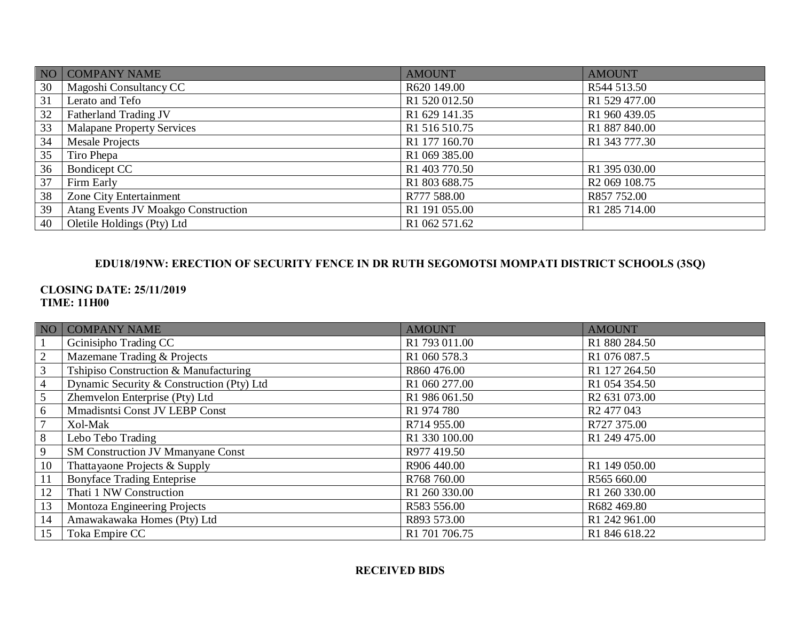|    | NO COMPANY NAME                            | <b>AMOUNT</b>             | <b>AMOUNT</b>             |
|----|--------------------------------------------|---------------------------|---------------------------|
| 30 | Magoshi Consultancy CC                     | R620 149.00               | R544 513.50               |
| 31 | Lerato and Tefo                            | R1 520 012.50             | R1 529 477.00             |
| 32 | Fatherland Trading JV                      | R1 629 141.35             | R1 960 439.05             |
| 33 | <b>Malapane Property Services</b>          | R1 516 510.75             | R1 887 840.00             |
| 34 | Mesale Projects                            | R1 177 160.70             | R1 343 777.30             |
| 35 | Tiro Phepa                                 | R1 069 385.00             |                           |
| 36 | Bondicept CC                               | R <sub>1</sub> 403 770.50 | R1 395 030.00             |
| 37 | Firm Early                                 | R1 803 688.75             | R <sub>2</sub> 069 108.75 |
| 38 | Zone City Entertainment                    | R777 588.00               | R857 752.00               |
| 39 | <b>Atang Events JV Moakgo Construction</b> | R <sub>1</sub> 191 055.00 | R1 285 714.00             |
| 40 | Oletile Holdings (Pty) Ltd                 | R1 062 571.62             |                           |

# **EDU18/19NW: ERECTION OF SECURITY FENCE IN DR RUTH SEGOMOTSI MOMPATI DISTRICT SCHOOLS (3SQ)**

### **CLOSING DATE: 25/11/2019 TIME: 11H00**

|                | NO COMPANY NAME                           | <b>AMOUNT</b> | <b>AMOUNT</b>             |
|----------------|-------------------------------------------|---------------|---------------------------|
|                | Geinisipho Trading CC                     | R1 793 011.00 | R1 880 284.50             |
| $\overline{2}$ | Mazemane Trading & Projects               | R1 060 578.3  | R1 076 087.5              |
| $\mathfrak{Z}$ | Tshipiso Construction & Manufacturing     | R860 476.00   | R1 127 264.50             |
| $\overline{4}$ | Dynamic Security & Construction (Pty) Ltd | R1 060 277.00 | R1 054 354.50             |
| 5              | Zhemvelon Enterprise (Pty) Ltd            | R1 986 061.50 | R <sub>2</sub> 631 073.00 |
| 6              | Mmadisntsi Const JV LEBP Const            | R1 974 780    | R <sub>2</sub> 477 043    |
| 7              | Xol-Mak                                   | R714 955.00   | R727 375.00               |
| 8              | Lebo Tebo Trading                         | R1 330 100.00 | R1 249 475.00             |
| 9              | <b>SM Construction JV Mmanyane Const</b>  | R977 419.50   |                           |
| 10             | Thattayaone Projects & Supply             | R906 440.00   | R1 149 050.00             |
| 11             | <b>Bonyface Trading Enteprise</b>         | R768 760.00   | R565 660.00               |
| 12             | Thati 1 NW Construction                   | R1 260 330.00 | R1 260 330.00             |
| 13             | Montoza Engineering Projects              | R583 556.00   | R682 469.80               |
| 14             | Amawakawaka Homes (Pty) Ltd               | R893 573.00   | R1 242 961.00             |
| 15             | Toka Empire CC                            | R1 701 706.75 | R1 846 618.22             |